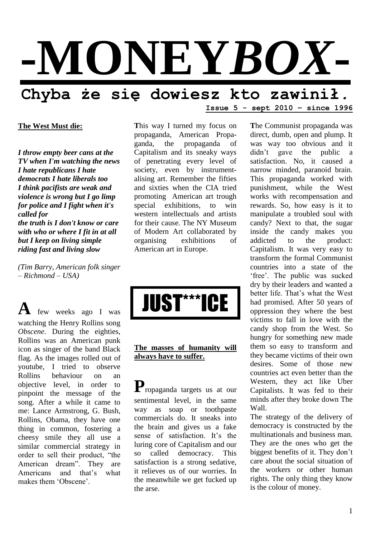

#### **The West Must die:**

*I throw empty beer cans at the TV when I'm watching the news I hate republicans I hate democrats I hate liberals too I think pacifists are weak and violence is wrong but I go limp for police and I fight when it's called for the truth is I don't know or care with who or where I fit in at all but I keep on living simple* 

*(Tim Barry, American folk singer – Richmond – USA)*

*riding fast and living slow*

**A** few weeks ago I was watching the Henry Rollins song *Obscene*. During the eighties, Rollins was an American punk icon as singer of the band Black flag. As the images rolled out of youtube, I tried to observe Rollins behaviour on an objective level, in order to pinpoint the message of the song. After a while it came to me: Lance Armstrong, G. Bush, Rollins, Obama, they have one thing in common, fostering a cheesy smile they all use a similar commercial strategy in order to sell their product, "the American dream". They are Americans and that"s what makes them 'Obscene'

**T**his way I turned my focus on propaganda, American Propaganda, the propaganda of Capitalism and its sneaky ways of penetrating every level of society, even by instrumentalising art. Remember the fifties and sixties when the CIA tried promoting American art trough special exhibitions, to win western intellectuals and artists for their cause. The NY Museum of Modern Art collaborated by organising exhibitions of American art in Europe.



# **The masses of humanity will always have to suffer.**

**P**ropaganda targets us at our sentimental level, in the same way as soap or toothpaste commercials do. It sneaks into the brain and gives us a fake sense of satisfaction. It's the luring core of Capitalism and our so called democracy. This satisfaction is a strong sedative, it relieves us of our worries. In the meanwhile we get fucked up the arse.

**T**he Communist propaganda was direct, dumb, open and plump. It was way too obvious and it didn"t gave the public a satisfaction. No, it caused a narrow minded, paranoid brain. This propaganda worked with punishment, while the West works with recompensation and rewards. So, how easy is it to manipulate a troubled soul with candy? Next to that, the sugar inside the candy makes you addicted to the product: Capitalism. It was very easy to transform the formal Communist countries into a state of the 'free'. The public was sucked dry by their leaders and wanted a better life. That"s what the West had promised. After 50 years of oppression they where the best victims to fall in love with the candy shop from the West. So hungry for something new made them so easy to transform and they became victims of their own desires. Some of those new countries act even better than the Western, they act like Uber Capitalists. It was fed to their minds after they broke down The Wall.

**Issue 5 - sept 2010 – since 1996**

The strategy of the delivery of democracy is constructed by the multinationals and business man. They are the ones who get the biggest benefits of it. They don"t care about the social situation of the workers or other human rights. The only thing they know is the colour of money.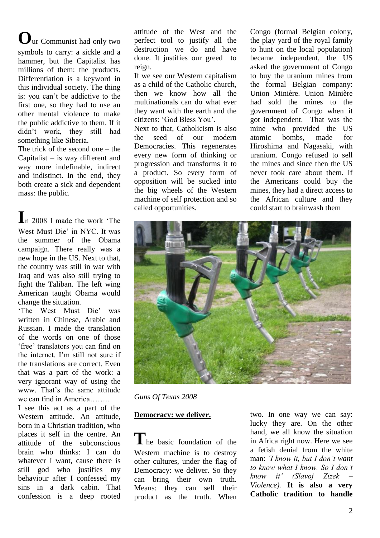**O**ur Communist had only two symbols to carry: a sickle and a hammer, but the Capitalist has millions of them: the products. Differentiation is a keyword in this individual society. The thing is: you can"t be addictive to the first one, so they had to use an other mental violence to make the public addictive to them. If it didn"t work, they still had something like Siberia.

The trick of the second one – the Capitalist – is way different and way more indefinable, indirect and indistinct. In the end, they both create a sick and dependent mass: the public.

**I**n 2008 I made the work "The West Must Die" in NYC. It was the summer of the Obama campaign. There really was a new hope in the US. Next to that, the country was still in war with Iraq and was also still trying to fight the Taliban. The left wing American taught Obama would change the situation.

"The West Must Die" was written in Chinese, Arabic and Russian. I made the translation of the words on one of those 'free' translators you can find on the internet. I"m still not sure if the translations are correct. Even that was a part of the work: a very ignorant way of using the www. That"s the same attitude we can find in America……..

I see this act as a part of the Western attitude. An attitude, born in a Christian tradition, who places it self in the centre. An attitude of the subconscious brain who thinks: I can do whatever I want, cause there is still god who justifies my behaviour after I confessed my sins in a dark cabin. That confession is a deep rooted

attitude of the West and the perfect tool to justify all the destruction we do and have done. It justifies our greed to reign.

If we see our Western capitalism as a child of the Catholic church, then we know how all the multinationals can do what ever they want with the earth and the citizens: "God Bless You".

Next to that, Catholicism is also the seed of our modern Democracies. This regenerates every new form of thinking or progression and transforms it to a product. So every form of opposition will be sucked into the big wheels of the Western machine of self protection and so called opportunities.

Congo (formal Belgian colony, the play yard of the royal family to hunt on the local population) became independent, the US asked the government of Congo to buy the uranium mines from the formal Belgian company: Union Minière. Union Minière had sold the mines to the government of Congo when it got independent. That was the mine who provided the US atomic bombs, made for Hiroshima and Nagasaki, with uranium. Congo refused to sell the mines and since then the US never took care about them. If the Americans could buy the mines, they had a direct access to the African culture and they could start to brainwash them



*Guns Of Texas 2008*

# **Democracy: we deliver.**

**T**he basic foundation of the Western machine is to destroy other cultures, under the flag of Democracy: we deliver. So they can bring their own truth. Means: they can sell their product as the truth. When two. In one way we can say: lucky they are. On the other hand, we all know the situation in Africa right now. Here we see a fetish denial from the white man: *'I know it, but I don't want to know what I know. So I don't know it' (Slavoj Zizek – Violence).* **It is also a very Catholic tradition to handle**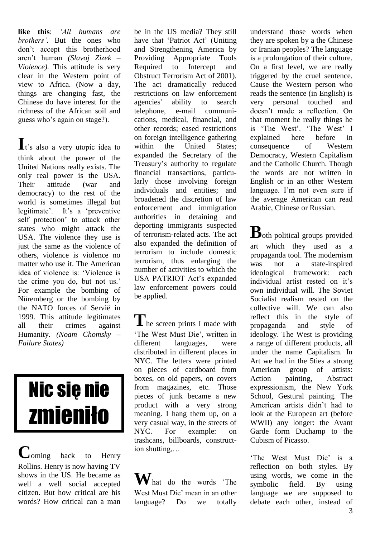**like this**: *'All humans are brothers'*. But the ones who don"t accept this brotherhood aren"t human *(Slavoj Zizek – Violence).* This attitude is very clear in the Western point of view to Africa. (Now a day, things are changing fast, the Chinese do have interest for the richness of the African soil and guess who"s again on stage?).

It's also a very utopic idea to think about the power of the United Nations really exists. The only real power is the USA. Their attitude (war and democracy) to the rest of the world is sometimes illegal but legitimate'. It's a 'preventive self protection" to attack other states who might attack the USA. The violence they use is just the same as the violence of others, violence is violence no matter who use it. The American idea of violence is: "Violence is the crime you do, but not us.' For example the bombing of Nüremberg or the bombing by the NATO forces of Servië in 1999. This attitude legitimates all their crimes against Humanity. *(Noam Chomsky – Failure States)*

# Nic się nie zmieniło

**C**oming back to Henry Rollins. Henry is now having TV shows in the US. He became as well a well social accepted citizen. But how critical are his words? How critical can a man be in the US media? They still have that 'Patriot Act' (Uniting and Strengthening America by Providing Appropriate Tools Required to Intercept and Obstruct Terrorism Act of 2001). The act dramatically reduced restrictions on law enforcement agencies' ability to search telephone, e-mail communications, medical, financial, and other records; eased restrictions on foreign intelligence gathering within the United States: expanded the [Secretary of the](http://en.wikipedia.org/wiki/United_States_Secretary_of_the_Treasury)  [Treasury"s](http://en.wikipedia.org/wiki/United_States_Secretary_of_the_Treasury) authority to regulate financial transactions, particularly those involving foreign individuals and entities; and broadened the discretion of law enforcement and immigration authorities in detaining and deporting [immigrants](http://en.wikipedia.org/wiki/Immigration_in_the_United_States) suspected of terrorism-related acts. The act also expanded the definition of terrorism to include [domestic](http://en.wikipedia.org/wiki/Domestic_terrorism)  [terrorism,](http://en.wikipedia.org/wiki/Domestic_terrorism) thus enlarging the number of activities to which the USA PATRIOT Act's expanded law enforcement powers could be applied.

The screen prints I made with "The West Must Die", written in different languages, were distributed in different places in NYC. The letters were printed on pieces of cardboard from boxes, on old papers, on covers from magazines, etc. Those pieces of junk became a new product with a very strong meaning. I hang them up, on a very casual way, in the streets of NYC. For example: on trashcans, billboards, construction shutting,…

**W**hat do the words "The West Must Die" mean in an other language? Do we totally understand those words when they are spoken by a the Chinese or Iranian peoples? The language is a prolongation of their culture. On a first level, we are really triggered by the cruel sentence. Cause the Western person who reads the sentence (in English) is very personal touched and doesn"t made a reflection. On that moment he really things he is 'The West'. 'The West' I explained here before in consequence of Western Democracy, Western Capitalism and the Catholic Church. Though the words are not written in English or in an other Western language. I'm not even sure if the average American can read Arabic, Chinese or Russian.

**B**oth political groups provided art which they used as a propaganda tool. The modernism was not a state-inspired ideological framework: each individual artist rested on it's own individual will. The Soviet Socialist realism rested on the collective will. We can also reflect this in the style of propaganda and style of ideology. The West is providing a range of different products, all under the name Capitalism. In Art we had in the 5ties a strong American group of artists: Action painting, Abstract expressionism, the New York School, Gestural painting. The American artists didn"t had to look at the European art (before WWII) any longer: the Avant Garde form Duchamp to the Cubism of Picasso.

'The West Must Die' is a reflection on both styles. By using words, we come in the symbolic field. By using language we are supposed to debate each other, instead of